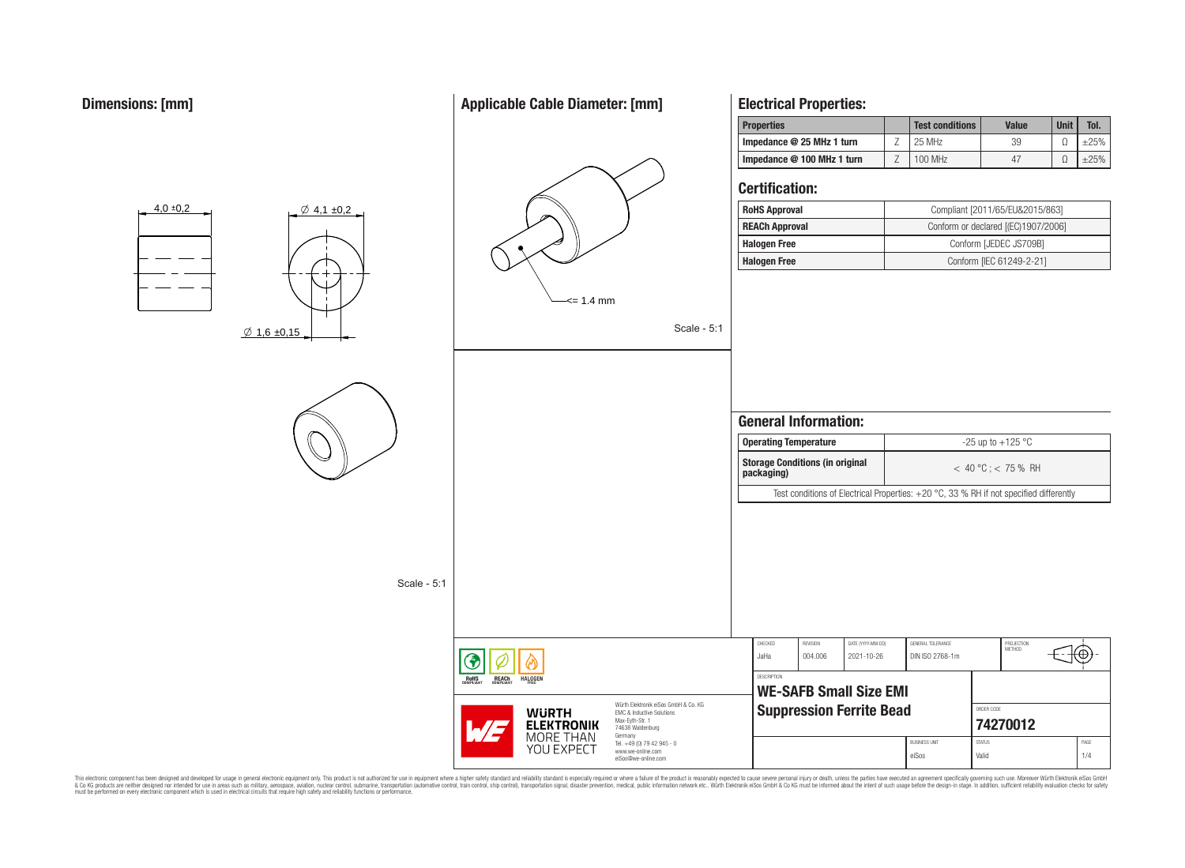## **Applicable Cable Diameter: [mm]**



**Electrical Properties:**

This electronic component has been designed and developed for usage in general electronic equipment only. This product is not authorized for subserved requipment where a higher selection equipment where a higher selection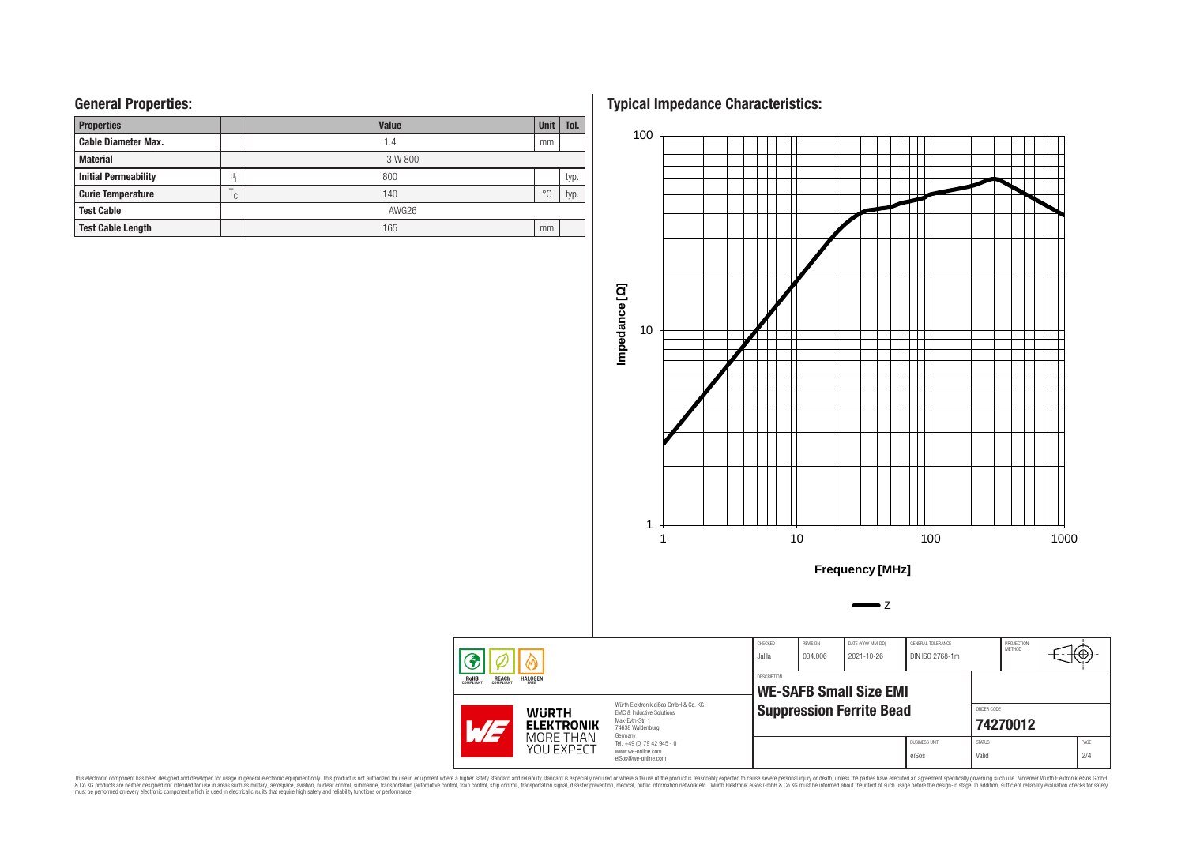# **General Properties:**

| <b>Properties</b>           |     | <b>Value</b> | <b>Unit</b> | Tol. |  |  |  |  |
|-----------------------------|-----|--------------|-------------|------|--|--|--|--|
| <b>Cable Diameter Max.</b>  |     | 1.4          | mm          |      |  |  |  |  |
| <b>Material</b>             |     | 3 W 800      |             |      |  |  |  |  |
| <b>Initial Permeability</b> | μ,  | 800          |             | typ. |  |  |  |  |
| <b>Curie Temperature</b>    | ۱c, | 140          | $^{\circ}C$ | typ. |  |  |  |  |
| <b>Test Cable</b>           |     | AWG26        |             |      |  |  |  |  |
| <b>Test Cable Length</b>    |     | 165          | mm          |      |  |  |  |  |

**Typical Impedance Characteristics:**



This electronic component has been designed and developed for usage in general electronic equipment only. This product is not authorized for subserved requipment where a higher selection equipment where a higher selection

G **ROHS**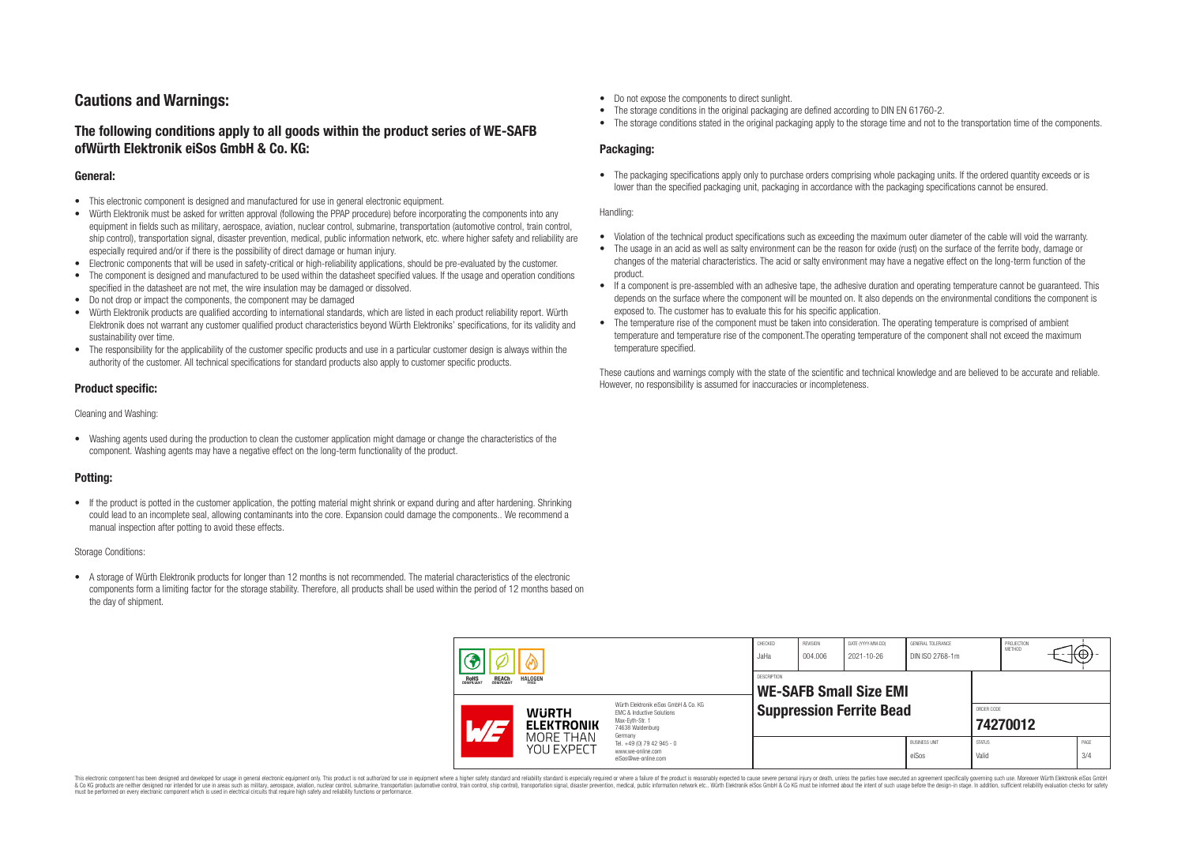# **Cautions and Warnings:**

## **The following conditions apply to all goods within the product series of WE-SAFB ofWürth Elektronik eiSos GmbH & Co. KG:**

#### **General:**

- This electronic component is designed and manufactured for use in general electronic equipment.
- Würth Elektronik must be asked for written approval (following the PPAP procedure) before incorporating the components into any equipment in fields such as military, aerospace, aviation, nuclear control, submarine, transportation (automotive control, train control, ship control), transportation signal, disaster prevention, medical, public information network, etc. where higher safety and reliability are especially required and/or if there is the possibility of direct damage or human injury.
- Electronic components that will be used in safety-critical or high-reliability applications, should be pre-evaluated by the customer.
- The component is designed and manufactured to be used within the datasheet specified values. If the usage and operation conditions specified in the datasheet are not met, the wire insulation may be damaged or dissolved.
- Do not drop or impact the components, the component may be damaged
- Würth Elektronik products are qualified according to international standards, which are listed in each product reliability report. Würth Elektronik does not warrant any customer qualified product characteristics beyond Würth Elektroniks' specifications, for its validity and sustainability over time.
- The responsibility for the applicability of the customer specific products and use in a particular customer design is always within the authority of the customer. All technical specifications for standard products also apply to customer specific products.

### **Product specific:**

Cleaning and Washing:

• Washing agents used during the production to clean the customer application might damage or change the characteristics of the component. Washing agents may have a negative effect on the long-term functionality of the product.

### **Potting:**

• If the product is potted in the customer application, the potting material might shrink or expand during and after hardening. Shrinking could lead to an incomplete seal, allowing contaminants into the core. Expansion could damage the components.. We recommend a manual inspection after potting to avoid these effects.

#### Storage Conditions:

• A storage of Würth Elektronik products for longer than 12 months is not recommended. The material characteristics of the electronic components form a limiting factor for the storage stability. Therefore, all products shall be used within the period of 12 months based on the day of shipment.

- Do not expose the components to direct sunlight.
- The storage conditions in the original packaging are defined according to DIN EN 61760-2.
- The storage conditions stated in the original packaging apply to the storage time and not to the transportation time of the components.

### **Packaging:**

• The packaging specifications apply only to purchase orders comprising whole packaging units. If the ordered quantity exceeds or is lower than the specified packaging unit, packaging in accordance with the packaging specifications cannot be ensured.

#### Handling:

- Violation of the technical product specifications such as exceeding the maximum outer diameter of the cable will void the warranty.
- The usage in an acid as well as salty environment can be the reason for oxide (rust) on the surface of the ferrite body, damage or changes of the material characteristics. The acid or salty environment may have a negative effect on the long-term function of the product.
- If a component is pre-assembled with an adhesive tape, the adhesive duration and operating temperature cannot be guaranteed. This depends on the surface where the component will be mounted on. It also depends on the environmental conditions the component is exposed to. The customer has to evaluate this for his specific application.
- The temperature rise of the component must be taken into consideration. The operating temperature is comprised of ambient temperature and temperature rise of the component.The operating temperature of the component shall not exceed the maximum temperature specified.

These cautions and warnings comply with the state of the scientific and technical knowledge and are believed to be accurate and reliable. However, no responsibility is assumed for inaccuracies or incompleteness.

| <b>HALOGEN</b><br><b>REACH</b><br>COMPLIANT<br><b>ROHS</b><br>COMPLIANT<br>FRFF |                                   | CHECKED<br>JaHa                                     | REVISION<br>004.006                                                                                                                                                                                      | DATE (YYYY-MM-DD)<br>2021-10-26 | GENERAL TOLERANCE<br>DIN ISO 2768-1m |                               | PROJECTION<br><b>METHOD</b> |                        | t⊎j |             |
|---------------------------------------------------------------------------------|-----------------------------------|-----------------------------------------------------|----------------------------------------------------------------------------------------------------------------------------------------------------------------------------------------------------------|---------------------------------|--------------------------------------|-------------------------------|-----------------------------|------------------------|-----|-------------|
|                                                                                 |                                   | <b>DESCRIPTION</b><br><b>WE-SAFB Small Size EMI</b> |                                                                                                                                                                                                          |                                 |                                      |                               |                             |                        |     |             |
|                                                                                 | <b>WURTH</b><br><b>ELEKTRONIK</b> |                                                     | Würth Elektronik eiSos GmbH & Co. KG<br><b>EMC &amp; Inductive Solutions</b><br>Max-Eyth-Str. 1<br>74638 Waldenburg<br>Germany<br>Tel. +49 (0) 79 42 945 - 0<br>www.we-online.com<br>eiSos@we-online.com | <b>Suppression Ferrite Bead</b> |                                      |                               |                             | ORDER CODE<br>74270012 |     |             |
|                                                                                 | MORE THAN<br>YOU EXPECT           |                                                     |                                                                                                                                                                                                          |                                 |                                      | <b>BUSINESS UNIT</b><br>eiSos | <b>STATUS</b><br>Valid      |                        |     | PAGE<br>3/4 |

This electronic component has been designed and developed for usage in general electronic equipment only. This product is not authorized for use in equipment where a higher safety standard and reliability standard si espec & Ook product a label and the membed of the seasuch as marked and as which such a membed and the such assume that income in the seasuch and the simulation and the such assume that include to the such a membed and the such